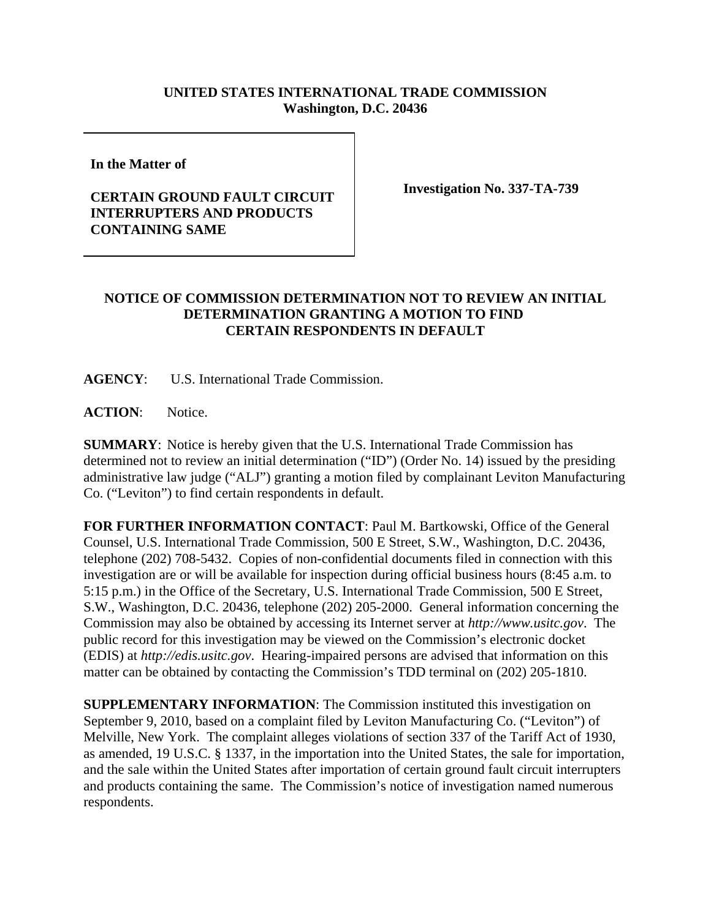## **UNITED STATES INTERNATIONAL TRADE COMMISSION Washington, D.C. 20436**

**In the Matter of** 

## **CERTAIN GROUND FAULT CIRCUIT INTERRUPTERS AND PRODUCTS CONTAINING SAME**

**Investigation No. 337-TA-739**

## **NOTICE OF COMMISSION DETERMINATION NOT TO REVIEW AN INITIAL DETERMINATION GRANTING A MOTION TO FIND CERTAIN RESPONDENTS IN DEFAULT**

**AGENCY**: U.S. International Trade Commission.

**ACTION**: Notice.

**SUMMARY**: Notice is hereby given that the U.S. International Trade Commission has determined not to review an initial determination ("ID") (Order No. 14) issued by the presiding administrative law judge ("ALJ") granting a motion filed by complainant Leviton Manufacturing Co. ("Leviton") to find certain respondents in default.

**FOR FURTHER INFORMATION CONTACT**: Paul M. Bartkowski, Office of the General Counsel, U.S. International Trade Commission, 500 E Street, S.W., Washington, D.C. 20436, telephone (202) 708-5432. Copies of non-confidential documents filed in connection with this investigation are or will be available for inspection during official business hours (8:45 a.m. to 5:15 p.m.) in the Office of the Secretary, U.S. International Trade Commission, 500 E Street, S.W., Washington, D.C. 20436, telephone (202) 205-2000. General information concerning the Commission may also be obtained by accessing its Internet server at *http://www.usitc.gov*. The public record for this investigation may be viewed on the Commission's electronic docket (EDIS) at *http://edis.usitc.gov*. Hearing-impaired persons are advised that information on this matter can be obtained by contacting the Commission's TDD terminal on (202) 205-1810.

**SUPPLEMENTARY INFORMATION**: The Commission instituted this investigation on September 9, 2010, based on a complaint filed by Leviton Manufacturing Co. ("Leviton") of Melville, New York. The complaint alleges violations of section 337 of the Tariff Act of 1930, as amended, 19 U.S.C. § 1337, in the importation into the United States, the sale for importation, and the sale within the United States after importation of certain ground fault circuit interrupters and products containing the same. The Commission's notice of investigation named numerous respondents.